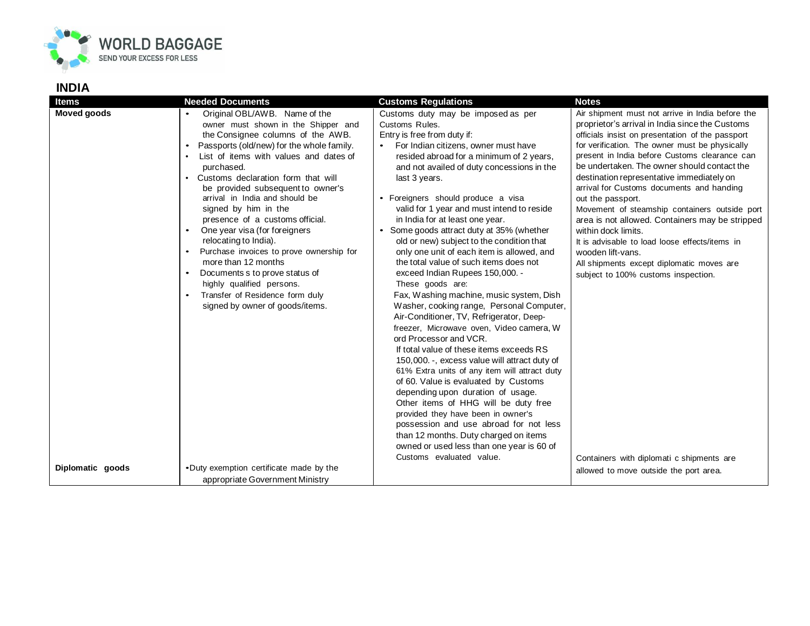

## **INDIA**

| <b>Items</b>       | <b>Needed Documents</b>                                                                                                                                                                                                                                                                                                                                                                                                                                                                                                                                                                                                                                  | <b>Customs Regulations</b>                                                                                                                                                                                                                                                                                                                                                                                                                                                                                                                                                                                                                                                                                                                                                                                                                                                                                                                                                                                                                                                                                                                                                                                                                                                             | <b>Notes</b>                                                                                                                                                                                                                                                                                                                                                                                                                                                                                                                                                                                                                                                                                                                                                |
|--------------------|----------------------------------------------------------------------------------------------------------------------------------------------------------------------------------------------------------------------------------------------------------------------------------------------------------------------------------------------------------------------------------------------------------------------------------------------------------------------------------------------------------------------------------------------------------------------------------------------------------------------------------------------------------|----------------------------------------------------------------------------------------------------------------------------------------------------------------------------------------------------------------------------------------------------------------------------------------------------------------------------------------------------------------------------------------------------------------------------------------------------------------------------------------------------------------------------------------------------------------------------------------------------------------------------------------------------------------------------------------------------------------------------------------------------------------------------------------------------------------------------------------------------------------------------------------------------------------------------------------------------------------------------------------------------------------------------------------------------------------------------------------------------------------------------------------------------------------------------------------------------------------------------------------------------------------------------------------|-------------------------------------------------------------------------------------------------------------------------------------------------------------------------------------------------------------------------------------------------------------------------------------------------------------------------------------------------------------------------------------------------------------------------------------------------------------------------------------------------------------------------------------------------------------------------------------------------------------------------------------------------------------------------------------------------------------------------------------------------------------|
| <b>Moved goods</b> | Original OBL/AWB. Name of the<br>owner must shown in the Shipper and<br>the Consignee columns of the AWB.<br>Passports (old/new) for the whole family.<br>List of items with values and dates of<br>purchased.<br>Customs declaration form that will<br>be provided subsequent to owner's<br>arrival in India and should be<br>signed by him in the<br>presence of a customs official.<br>One year visa (for foreigners<br>relocating to India).<br>Purchase invoices to prove ownership for<br>more than 12 months<br>Documents s to prove status of<br>highly qualified persons.<br>Transfer of Residence form duly<br>signed by owner of goods/items. | Customs duty may be imposed as per<br>Customs Rules.<br>Entry is free from duty if:<br>For Indian citizens, owner must have<br>resided abroad for a minimum of 2 years,<br>and not availed of duty concessions in the<br>last 3 years.<br>• Foreigners should produce a visa<br>valid for 1 year and must intend to reside<br>in India for at least one year.<br>• Some goods attract duty at 35% (whether<br>old or new) subject to the condition that<br>only one unit of each item is allowed, and<br>the total value of such items does not<br>exceed Indian Rupees 150,000. -<br>These goods are:<br>Fax, Washing machine, music system, Dish<br>Washer, cooking range, Personal Computer,<br>Air-Conditioner, TV, Refrigerator, Deep-<br>freezer, Microwave oven, Video camera, W<br>ord Processor and VCR.<br>If total value of these items exceeds RS<br>150,000. -, excess value will attract duty of<br>61% Extra units of any item will attract duty<br>of 60. Value is evaluated by Customs<br>depending upon duration of usage.<br>Other items of HHG will be duty free<br>provided they have been in owner's<br>possession and use abroad for not less<br>than 12 months. Duty charged on items<br>owned or used less than one year is 60 of<br>Customs evaluated value. | Air shipment must not arrive in India before the<br>proprietor's arrival in India since the Customs<br>officials insist on presentation of the passport<br>for verification. The owner must be physically<br>present in India before Customs clearance can<br>be undertaken. The owner should contact the<br>destination representative immediately on<br>arrival for Customs documents and handing<br>out the passport.<br>Movement of steamship containers outside port<br>area is not allowed. Containers may be stripped<br>within dock limits.<br>It is advisable to load loose effects/items in<br>wooden lift-vans.<br>All shipments except diplomatic moves are<br>subject to 100% customs inspection.<br>Containers with diplomati c shipments are |
| Diplomatic goods   | .Duty exemption certificate made by the<br>appropriate Government Ministry                                                                                                                                                                                                                                                                                                                                                                                                                                                                                                                                                                               |                                                                                                                                                                                                                                                                                                                                                                                                                                                                                                                                                                                                                                                                                                                                                                                                                                                                                                                                                                                                                                                                                                                                                                                                                                                                                        | allowed to move outside the port area.                                                                                                                                                                                                                                                                                                                                                                                                                                                                                                                                                                                                                                                                                                                      |